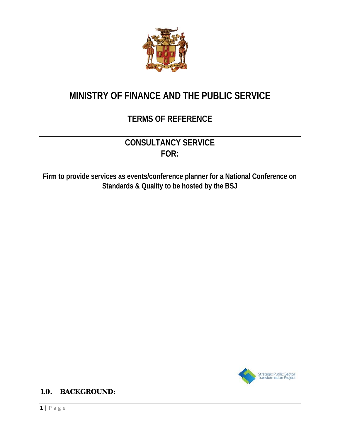

# **MINISTRY OF FINANCE AND THE PUBLIC SERVICE**

## **TERMS OF REFERENCE**

## **CONSULTANCY SERVICE FOR:**

**Firm to provide services as events/conference planner for a National Conference on Standards & Quality to be hosted by the BSJ** 



**1.0. BACKGROUND:**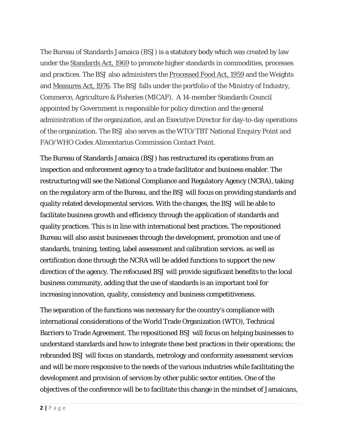The Bureau of Standards Jamaica (BSJ) is a statutory body which was created by law under the Standards Act, 1969 to promote higher standards in commodities, processes and practices. The BSJ also administers the Processed Food Act, 1959 and the Weights and Measures Act, 1976. The BSJ falls under the portfolio of the Ministry of Industry, Commerce, Agriculture & Fisheries (MICAF). A 14-member Standards Council appointed by Government is responsible for policy direction and the general administration of the organization, and an Executive Director for day-to-day operations of the organization. The BSJ also serves as the WTO/TBT National Enquiry Point and FAO/WHO Codex Alimentarius Commission Contact Point.

The Bureau of Standards Jamaica (BSJ) has restructured its operations from an inspection and enforcement agency to a trade facilitator and business enabler. The restructuring will see the National Compliance and Regulatory Agency (NCRA), taking on the regulatory arm of the Bureau, and the BSJ will focus on providing standards and quality related developmental services. With the changes, the BSJ will be able to facilitate business growth and efficiency through the application of standards and quality practices. This is in line with international best practices. The repositioned Bureau will also assist businesses through the development, promotion and use of standards, training, testing, label assessment and calibration services. as well as certification done through the NCRA will be added functions to support the new direction of the agency. The refocused BSJ will provide significant benefits to the local business community, adding that the use of standards is an important tool for increasing innovation, quality, consistency and business competitiveness.

The separation of the functions was necessary for the country's compliance with international considerations of the World Trade Organization (WTO), Technical Barriers to Trade Agreement. The repositioned BSJ will focus on helping businesses to understand standards and how to integrate these best practices in their operations; the rebranded BSJ will focus on standards, metrology and conformity assessment services and will be more responsive to the needs of the various industries while facilitating the development and provision of services by other public sector entities. One of the objectives of the conference will be to facilitate this change in the mindset of Jamaicans,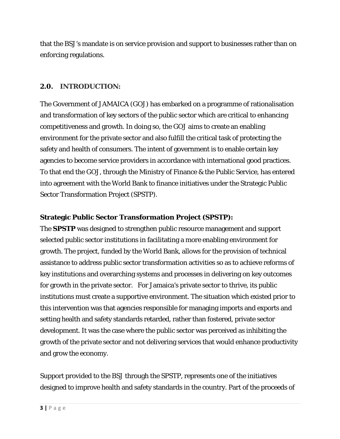that the BSJ's mandate is on service provision and support to businesses rather than on enforcing regulations.

#### **2.0. INTRODUCTION:**

The Government of JAMAICA (GOJ) has embarked on a programme of rationalisation and transformation of key sectors of the public sector which are critical to enhancing competitiveness and growth. In doing so, the GOJ aims to create an enabling environment for the private sector and also fulfill the critical task of protecting the safety and health of consumers. The intent of government is to enable certain key agencies to become service providers in accordance with international good practices. To that end the GOJ, through the Ministry of Finance & the Public Service, has entered into agreement with the World Bank to finance initiatives under the Strategic Public Sector Transformation Project (SPSTP).

#### **Strategic Public Sector Transformation Project (SPSTP):**

The **SPSTP** was designed to strengthen public resource management and support selected public sector institutions in facilitating a more enabling environment for growth. The project, funded by the World Bank, allows for the provision of technical assistance to address public sector transformation activities so as to achieve reforms of key institutions and overarching systems and processes in delivering on key outcomes for growth in the private sector. For Jamaica's private sector to thrive, its public institutions must create a supportive environment. The situation which existed prior to this intervention was that agencies responsible for managing imports and exports and setting health and safety standards retarded, rather than fostered, private sector development. It was the case where the public sector was perceived as inhibiting the growth of the private sector and not delivering services that would enhance productivity and grow the economy.

Support provided to the BSJ through the SPSTP, represents one of the initiatives designed to improve health and safety standards in the country. Part of the proceeds of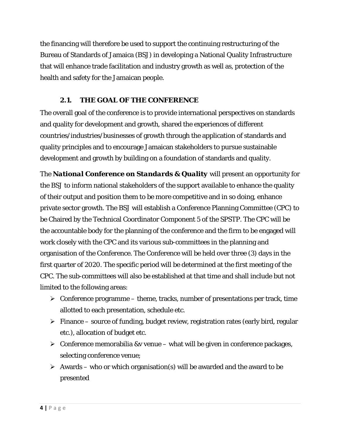the financing will therefore be used to support the continuing restructuring of the Bureau of Standards of Jamaica (BSJ) in developing a National Quality Infrastructure that will enhance trade facilitation and industry growth as well as, protection of the health and safety for the Jamaican people.

## **2.1. THE GOAL OF THE CONFERENCE**

The overall goal of the conference is to provide international perspectives on standards and quality for development and growth, shared the experiences of different countries/industries/businesses of growth through the application of standards and quality principles and to encourage Jamaican stakeholders to pursue sustainable development and growth by building on a foundation of standards and quality.

The *National Conference on Standards & Quality* will present an opportunity for the BSJ to inform national stakeholders of the support available to enhance the quality of their output and position them to be more competitive and in so doing, enhance private sector growth. The BSJ will establish a Conference Planning Committee (CPC) to be Chaired by the Technical Coordinator Component 5 of the SPSTP. The CPC will be the accountable body for the planning of the conference and the firm to be engaged will work closely with the CPC and its various sub-committees in the planning and organisation of the Conference. The Conference will be held over three (3) days in the first quarter of 2020. The specific period will be determined at the first meeting of the CPC. The sub-committees will also be established at that time and shall include but not limited to the following areas:

- $\triangleright$  Conference programme theme, tracks, number of presentations per track, time allotted to each presentation, schedule etc.
- $\triangleright$  Finance source of funding, budget review, registration rates (early bird, regular etc.), allocation of budget etc.
- $\triangleright$  Conference memorabilia &v venue what will be given in conference packages, selecting conference venue;
- $\triangleright$  Awards who or which organisation(s) will be awarded and the award to be presented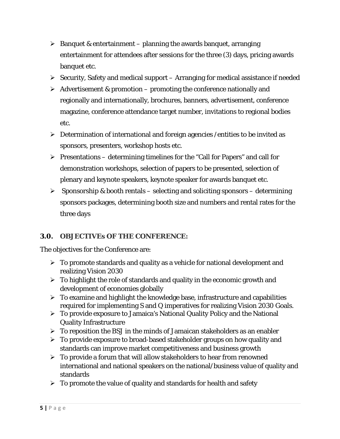- $\triangleright$  Banquet & entertainment planning the awards banquet, arranging entertainment for attendees after sessions for the three (3) days, pricing awards banquet etc.
- $\triangleright$  Security, Safety and medical support Arranging for medical assistance if needed
- $\triangleright$  Advertisement & promotion promoting the conference nationally and regionally and internationally, brochures, banners, advertisement, conference magazine, conference attendance target number, invitations to regional bodies etc.
- $\triangleright$  Determination of international and foreign agencies /entities to be invited as sponsors, presenters, workshop hosts etc.
- $\triangleright$  Presentations determining timelines for the "Call for Papers" and call for demonstration workshops, selection of papers to be presented, selection of plenary and keynote speakers, keynote speaker for awards banquet etc.
- $\triangleright$  Sponsorship & booth rentals selecting and soliciting sponsors determining sponsors packages, determining booth size and numbers and rental rates for the three days

### **3.0. OBJECTIVEs OF THE CONFERENCE:**

The objectives for the Conference are:

- $\triangleright$  To promote standards and quality as a vehicle for national development and realizing Vision 2030
- $\triangleright$  To highlight the role of standards and quality in the economic growth and development of economies globally
- $\triangleright$  To examine and highlight the knowledge base, infrastructure and capabilities required for implementing S and Q imperatives for realizing Vision 2030 Goals.
- To provide exposure to Jamaica's National Quality Policy and the National Quality Infrastructure
- $\triangleright$  To reposition the BSJ in the minds of Jamaican stakeholders as an enabler
- > To provide exposure to broad-based stakeholder groups on how quality and standards can improve market competitiveness and business growth
- $\triangleright$  To provide a forum that will allow stakeholders to hear from renowned international and national speakers on the national/business value of quality and standards
- $\triangleright$  To promote the value of quality and standards for health and safety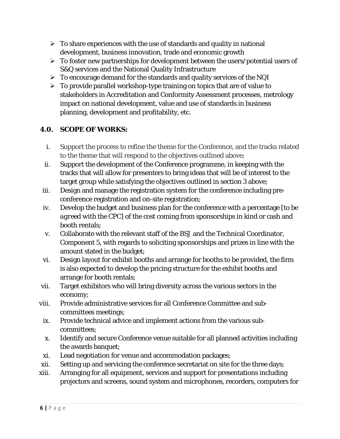- $\triangleright$  To share experiences with the use of standards and quality in national development, business innovation, trade and economic growth
- $\triangleright$  To foster new partnerships for development between the users/potential users of S&Q services and the National Quality Infrastructure
- $\triangleright$  To encourage demand for the standards and quality services of the NQI
- $\triangleright$  To provide parallel workshop-type training on topics that are of value to stakeholders in Accreditation and Conformity Assessment processes, metrology impact on national development, value and use of standards in business planning, development and profitability, etc.

## **4.0. SCOPE OF WORKS:**

- i. Support the process to refine the theme for the Conference, and the tracks related to the theme that will respond to the objectives outlined above;
- ii. Support the development of the Conference programme, in keeping with the tracks that will allow for presenters to bring ideas that will be of interest to the target group while satisfying the objectives outlined in section 3 above;
- iii. Design and manage the registration system for the conference including preconference registration and on-site registration;
- iv. Develop the budget and business plan for the conference with a percentage [*to be agreed with the CPC*] of the cost coming from sponsorships in kind or cash and booth rentals;
- v. Collaborate with the relevant staff of the BSJ and the Technical Coordinator, Component 5, with regards to soliciting sponsorships and prizes in line with the amount stated in the budget;
- vi. Design layout for exhibit booths and arrange for booths to be provided, the firm is also expected to develop the pricing structure for the exhibit booths and arrange for booth rentals;
- vii. Target exhibitors who will bring diversity across the various sectors in the economy;
- viii. Provide administrative services for all Conference Committee and subcommittees meetings;
	- ix. Provide technical advice and implement actions from the various subcommittees;
	- x. Identify and secure Conference venue suitable for all planned activities including the awards banquet;
- xi. Lead negotiation for venue and accommodation packages;
- xii. Setting up and servicing the conference secretariat on site for the three days;
- xiii. Arranging for all equipment, services and support for presentations including projectors and screens, sound system and microphones, recorders, computers for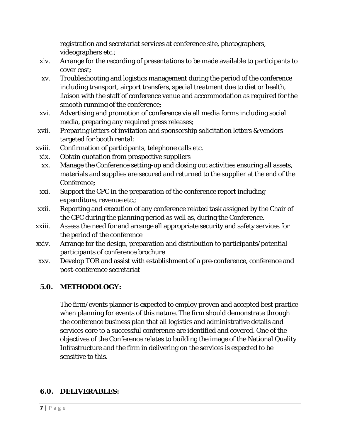registration and secretariat services at conference site, photographers, videographers etc.;

- xiv. Arrange for the recording of presentations to be made available to participants to cover cost;
- xv. Troubleshooting and logistics management during the period of the conference including transport, airport transfers, special treatment due to diet or health, liaison with the staff of conference venue and accommodation as required for the smooth running of the conference;
- xvi. Advertising and promotion of conference via all media forms including social media, preparing any required press releases;
- xvii. Preparing letters of invitation and sponsorship solicitation letters & vendors targeted for booth rental;
- xviii. Confirmation of participants, telephone calls etc.
- xix. Obtain quotation from prospective suppliers
- xx. Manage the Conference setting-up and closing out activities ensuring all assets, materials and supplies are secured and returned to the supplier at the end of the Conference;
- xxi. Support the CPC in the preparation of the conference report including expenditure, revenue etc.;
- xxii. Reporting and execution of any conference related task assigned by the Chair of the CPC during the planning period as well as, during the Conference.
- xxiii. Assess the need for and arrange all appropriate security and safety services for the period of the conference
- xxiv. Arrange for the design, preparation and distribution to participants/potential participants of conference brochure
- xxv. Develop TOR and assist with establishment of a pre-conference, conference and post-conference secretariat

### **5.0. METHODOLOGY:**

The firm/events planner is expected to employ proven and accepted best practice when planning for events of this nature. The firm should demonstrate through the conference business plan that all logistics and administrative details and services core to a successful conference are identified and covered. One of the objectives of the Conference relates to building the image of the National Quality Infrastructure and the firm in delivering on the services is expected to be sensitive to this.

### **6.0. DELIVERABLES:**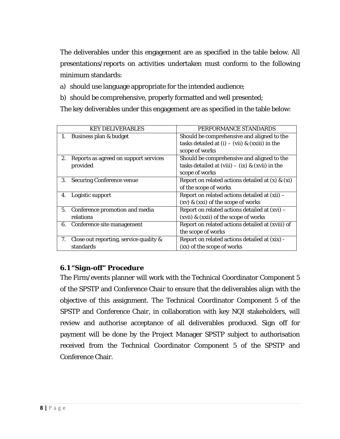The deliverables under this engagement are as specified in the table below. All presentations/reports on activities undertaken must conform to the following minimum standards:

- a) should use language appropriate for the intended audience;
- b) should be comprehensive, properly formatted and well presented;

The key deliverables under this engagement are as specified in the table below:

|    | <b>KEY DELIVERABLES</b>                | PERFORMANCE STANDARDS                                |
|----|----------------------------------------|------------------------------------------------------|
| 1. | Business plan & budget                 | Should be comprehensive and aligned to the           |
|    |                                        | tasks detailed at (i) – (vii) & (xxiii) in the       |
|    |                                        | scope of works                                       |
| 2. | Reports as agreed on support services  | Should be comprehensive and aligned to the           |
|    | provided                               | tasks detailed at (viii) $-$ (ix) & (xvii) in the    |
|    |                                        | scope of works                                       |
| 3. | <b>Securing Conference venue</b>       | Report on related actions detailed at $(x)$ & $(xi)$ |
|    |                                        | of the scope of works                                |
| 4. | Logistic support                       | Report on related actions detailed at (xii) -        |
|    |                                        | $(xv)$ & $(xxi)$ of the scope of works               |
| 5. | Conference promotion and media         | Report on related actions detailed at (xvi) -        |
|    | relations                              | $(xvii)$ & $(xxii)$ of the scope of works            |
| 6. | Conference site management             | Report on related actions detailed at (xviii) of     |
|    |                                        | the scope of works                                   |
| 7. | Close out reporting, service quality & | Report on related actions detailed at (xix) -        |
|    | standards                              | (xx) of the scope of works                           |

### *6.1 "Sign-off" Procedure*

The Firm/events planner will work with the Technical Coordinator Component 5 of the SPSTP and Conference Chair to ensure that the deliverables align with the objective of this assignment. The Technical Coordinator Component 5 of the SPSTP and Conference Chair, in collaboration with key NQI stakeholders, will review and authorise acceptance of all deliverables produced. Sign off for payment will be done by the Project Manager SPSTP subject to authorisation received from the Technical Coordinator Component 5 of the SPSTP and Conference Chair.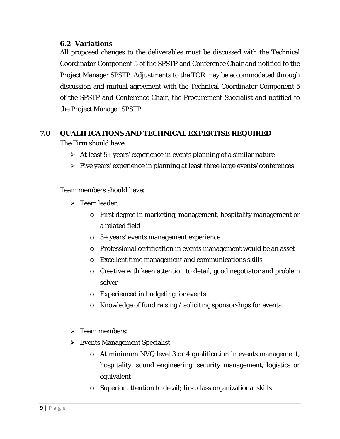#### *6.2 Variations*

All proposed changes to the deliverables must be discussed with the Technical Coordinator Component 5 of the SPSTP and Conference Chair and notified to the Project Manager SPSTP. Adjustments to the TOR may be accommodated through discussion and mutual agreement with the Technical Coordinator Component 5 of the SPSTP and Conference Chair, the Procurement Specialist and notified to the Project Manager SPSTP.

#### **7.0 QUALIFICATIONS AND TECHNICAL EXPERTISE REQUIRED**

The Firm should have:

- $\triangleright$  At least 5+ years' experience in events planning of a similar nature
- $\triangleright$  Five years' experience in planning at least three large events/conferences

Team members should have:

- $\triangleright$  Team leader:
	- o First degree in marketing, management, hospitality management or a related field
	- o 5+ years' events management experience
	- o Professional certification in events management would be an asset
	- o Excellent time management and communications skills
	- o Creative with keen attention to detail, good negotiator and problem solver
	- o Experienced in budgeting for events
	- o Knowledge of fund raising / soliciting sponsorships for events
- $\triangleright$  Team members:
- $\triangleright$  Events Management Specialist
	- o At minimum NVQ level 3 or 4 qualification in events management, hospitality, sound engineering, security management, logistics or equivalent
	- o Superior attention to detail; first class organizational skills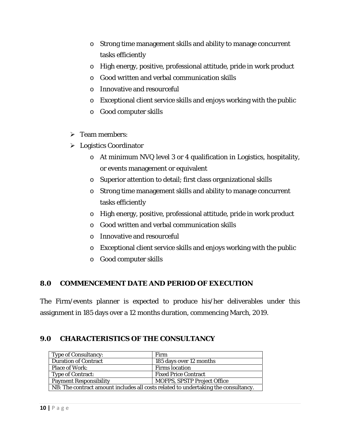- o Strong time management skills and ability to manage concurrent tasks efficiently
- o High energy, positive, professional attitude, pride in work product
- o Good written and verbal communication skills
- o Innovative and resourceful
- o Exceptional client service skills and enjoys working with the public
- o Good computer skills
- $\triangleright$  Team members:
- Logistics Coordinator
	- o At minimum NVQ level 3 or 4 qualification in Logistics, hospitality, or events management or equivalent
	- o Superior attention to detail; first class organizational skills
	- o Strong time management skills and ability to manage concurrent tasks efficiently
	- o High energy, positive, professional attitude, pride in work product
	- o Good written and verbal communication skills
	- o Innovative and resourceful
	- o Exceptional client service skills and enjoys working with the public
	- o Good computer skills

### **8.0 COMMENCEMENT DATE AND PERIOD OF EXECUTION**

The Firm/events planner is expected to produce his/her deliverables under this assignment in 185 days over a 12 months duration, commencing March, 2019.

### **9.0 CHARACTERISTICS OF THE CONSULTANCY**

| <b>Type of Consultancy:</b>                                                        | Firm                               |  |
|------------------------------------------------------------------------------------|------------------------------------|--|
| <b>Duration of Contract</b>                                                        | 185 days over 12 months            |  |
| <b>Place of Work:</b>                                                              | <b>Firms</b> location              |  |
| <b>Type of Contract:</b>                                                           | <b>Fixed Price Contract</b>        |  |
| <b>Payment Responsibility</b>                                                      | <b>MOFPS, SPSTP Project Office</b> |  |
| NB: The contract amount includes all costs related to undertaking the consultancy. |                                    |  |